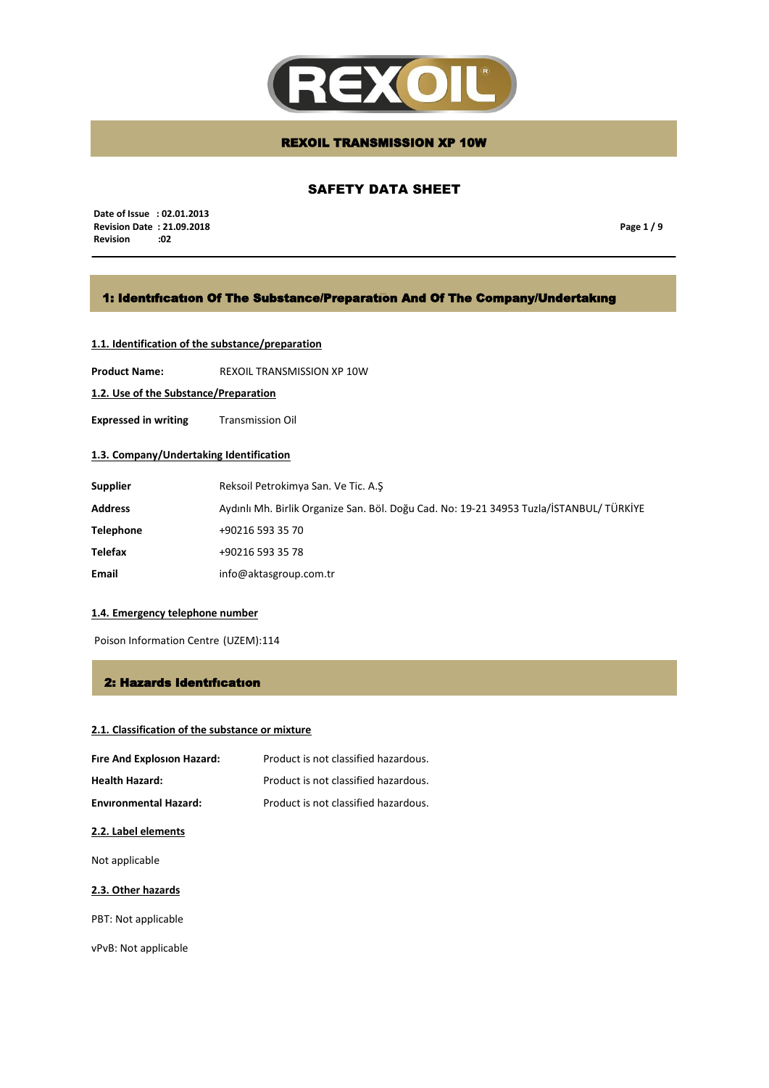

## SAFETY DATA SHEET

 **Date of Issue : 02.01.2013 Revision Date : 21.09.2018 Revision** 

**Page 1 / 9**

## 1: Identıfıcatıon Of The Substance/Preparatıon And Of The Company/Undertakıng

## **1.1. Identification of the substance/preparation**

**Product Name:** REXOIL TRANSMISSION XP 10W

**1.2. Use of the Substance/Preparation**

**Expressed in writing** Transmission Oil

## **1.3. Company/Undertaking Identification**

| <b>Supplier</b>  | Reksoil Petrokimya San. Ve Tic. A.S                                                     |
|------------------|-----------------------------------------------------------------------------------------|
| <b>Address</b>   | Aydınlı Mh. Birlik Organize San. Böl. Doğu Cad. No: 19-21 34953 Tuzla/İSTANBUL/ TÜRKİYE |
| <b>Telephone</b> | +90216 593 35 70                                                                        |
| <b>Telefax</b>   | +90216 593 35 78                                                                        |
| Email            | info@aktasgroup.com.tr                                                                  |

### **1.4. Emergency telephone number**

Poison Information Centre (UZEM):114

### 2: Hazards Identıfıcatıon

## **2.1. Classification of the substance or mixture**

| Fire And Explosion Hazard:   | Product is not classified hazardous. |
|------------------------------|--------------------------------------|
| <b>Health Hazard:</b>        | Product is not classified hazardous. |
| <b>Environmental Hazard:</b> | Product is not classified hazardous. |

### **2.2. Label elements**

Not applicable

### **2.3. Other hazards**

PBT: Not applicable

vPvB: Not applicable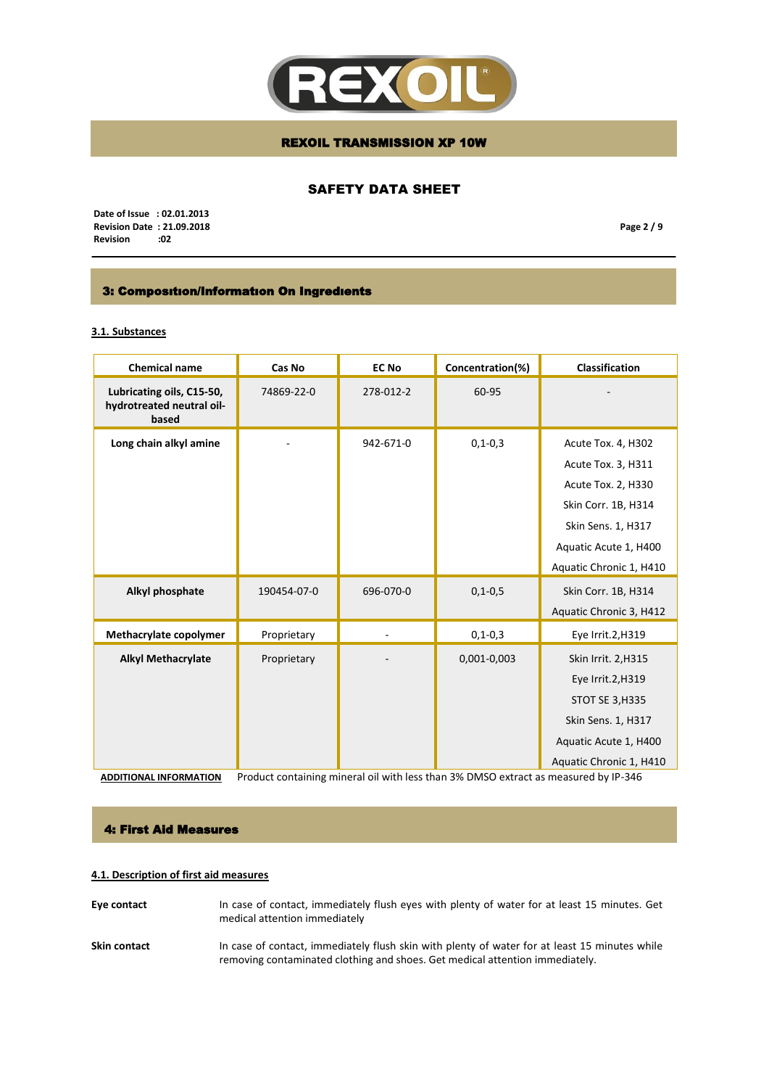

## SAFETY DATA SHEET

 **Date of Issue : 02.01.2013 Revision Date : 21.09.2018**  $Review$ 

**Page 2 / 9**

## 3: Composıtıon/Informatıon On Ingredıents

## **3.1. Substances**

| <b>Chemical name</b>                                            | Cas No                                                                              | <b>EC No</b> | Concentration(%) | <b>Classification</b>   |
|-----------------------------------------------------------------|-------------------------------------------------------------------------------------|--------------|------------------|-------------------------|
| Lubricating oils, C15-50,<br>hydrotreated neutral oil-<br>based | 74869-22-0                                                                          | 278-012-2    | 60-95            |                         |
| Long chain alkyl amine                                          |                                                                                     | 942-671-0    | $0, 1 - 0, 3$    | Acute Tox. 4, H302      |
|                                                                 |                                                                                     |              |                  | Acute Tox. 3, H311      |
|                                                                 |                                                                                     |              |                  | Acute Tox. 2, H330      |
|                                                                 |                                                                                     |              |                  | Skin Corr. 1B, H314     |
|                                                                 |                                                                                     |              |                  | Skin Sens. 1, H317      |
|                                                                 |                                                                                     |              |                  | Aquatic Acute 1, H400   |
|                                                                 |                                                                                     |              |                  | Aquatic Chronic 1, H410 |
| Alkyl phosphate                                                 | 190454-07-0                                                                         | 696-070-0    | $0, 1 - 0, 5$    | Skin Corr. 1B, H314     |
|                                                                 |                                                                                     |              |                  | Aquatic Chronic 3, H412 |
| Methacrylate copolymer                                          | Proprietary                                                                         |              | $0, 1 - 0, 3$    | Eye Irrit.2,H319        |
| <b>Alkyl Methacrylate</b>                                       | Proprietary                                                                         |              | 0,001-0,003      | Skin Irrit. 2, H315     |
|                                                                 |                                                                                     |              |                  | Eye Irrit.2, H319       |
|                                                                 |                                                                                     |              |                  | <b>STOT SE 3, H335</b>  |
|                                                                 |                                                                                     |              |                  | Skin Sens. 1, H317      |
|                                                                 |                                                                                     |              |                  | Aquatic Acute 1, H400   |
|                                                                 |                                                                                     |              |                  | Aquatic Chronic 1, H410 |
| <b>ADDITIONAL INFORMATION</b>                                   | Product containing mineral oil with less than 3% DMSO extract as measured by IP-346 |              |                  |                         |

### 4: First Aid Measures

## **4.1. Description of first aid measures**

- **Eye contact** In case of contact, immediately flush eyes with plenty of water for at least 15 minutes. Get medical attention immediately
- Skin contact **In case of contact**, immediately flush skin with plenty of water for at least 15 minutes while removing contaminated clothing and shoes. Get medical attention immediately.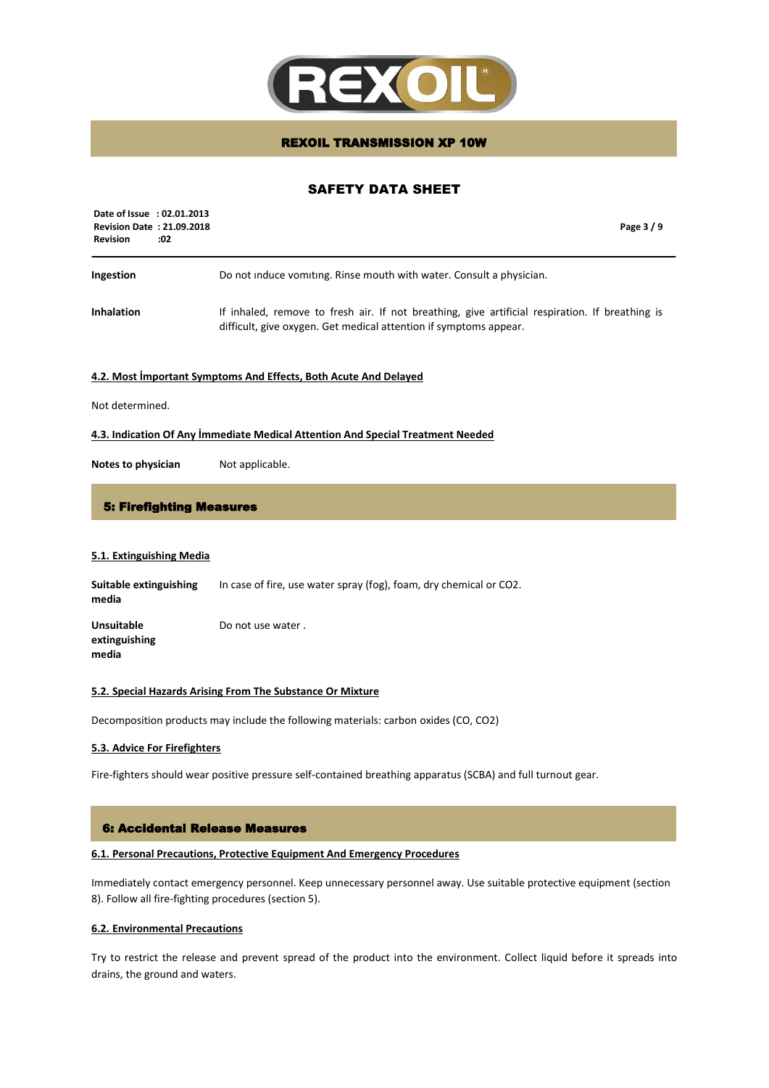

## SAFETY DATA SHEET

| Date of Issue : 02.01.2013<br><b>Revision Date: 21.09.2018</b><br><b>Revision</b><br>:02 | Page 3/9                                                                                                                                                             |
|------------------------------------------------------------------------------------------|----------------------------------------------------------------------------------------------------------------------------------------------------------------------|
| Ingestion                                                                                | Do not induce vomiting. Rinse mouth with water. Consult a physician.                                                                                                 |
| <b>Inhalation</b>                                                                        | If inhaled, remove to fresh air. If not breathing, give artificial respiration. If breathing is<br>difficult, give oxygen. Get medical attention if symptoms appear. |

#### **4.2. Most İmportant Symptoms And Effects, Both Acute And Delayed**

Not determined.

#### **4.3. Indication Of Any İmmediate Medical Attention And Special Treatment Needed**

**Notes to physician** Not applicable.

### 5: Firefighting Measures

### **5.1. Extinguishing Media**

| Suitable extinguishing<br>media             | In case of fire, use water spray (fog), foam, dry chemical or CO2. |
|---------------------------------------------|--------------------------------------------------------------------|
| <b>Unsuitable</b><br>extinguishing<br>media | Do not use water.                                                  |

#### **5.2. Special Hazards Arising From The Substance Or Mixture**

Decomposition products may include the following materials: carbon oxides (CO, CO2)

### **5.3. Advice For Firefighters**

Fire-fighters should wear positive pressure self-contained breathing apparatus (SCBA) and full turnout gear.

### 6: Accidental Release Measures

### **6.1. Personal Precautions, Protective Equipment And Emergency Procedures**

Immediately contact emergency personnel. Keep unnecessary personnel away. Use suitable protective equipment (section 8). Follow all fire-fighting procedures (section 5).

### **6.2. Environmental Precautions**

Try to restrict the release and prevent spread of the product into the environment. Collect liquid before it spreads into drains, the ground and waters.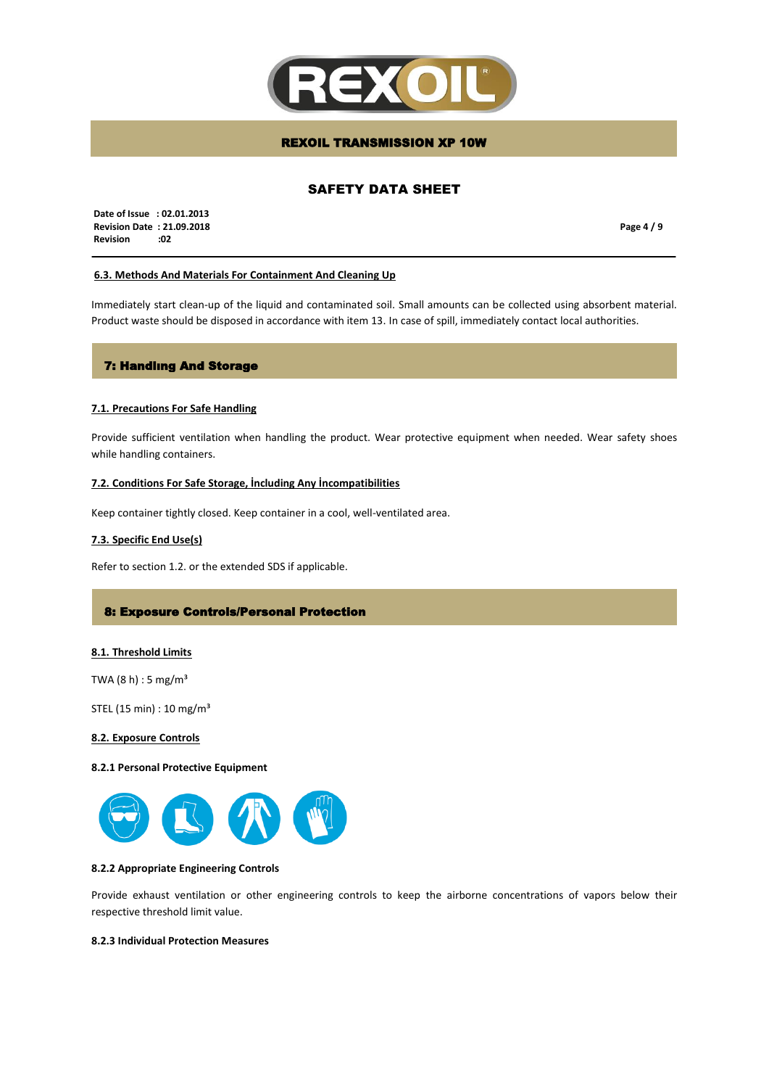

## SAFETY DATA SHEET

 **Date of Issue : 02.01.2013 Revision Date : 21.09.2018 Revision :02**

**Page 4 / 9**

### **6.3. Methods And Materials For Containment And Cleaning Up**

Immediately start clean-up of the liquid and contaminated soil. Small amounts can be collected using absorbent material. Product waste should be disposed in accordance with item 13. In case of spill, immediately contact local authorities.

## 7: Handlıng And Storage

#### **7.1. Precautions For Safe Handling**

Provide sufficient ventilation when handling the product. Wear protective equipment when needed. Wear safety shoes while handling containers.

### **7.2. Conditions For Safe Storage, İncluding Any İncompatibilities**

Keep container tightly closed. Keep container in a cool, well-ventilated area.

### **7.3. Specific End Use(s)**

Refer to section 1.2. or the extended SDS if applicable.

### 8: Exposure Controls/Personal Protection

#### **8.1. Threshold Limits**

TWA  $(8 h) : 5 mg/m<sup>3</sup>$ 

STEL (15 min) : 10 mg/m³

#### **8.2. Exposure Controls**

#### **8.2.1 Personal Protective Equipment**



### **8.2.2 Appropriate Engineering Controls**

Provide exhaust ventilation or other engineering controls to keep the airborne concentrations of vapors below their respective threshold limit value.

### **8.2.3 Individual Protection Measures**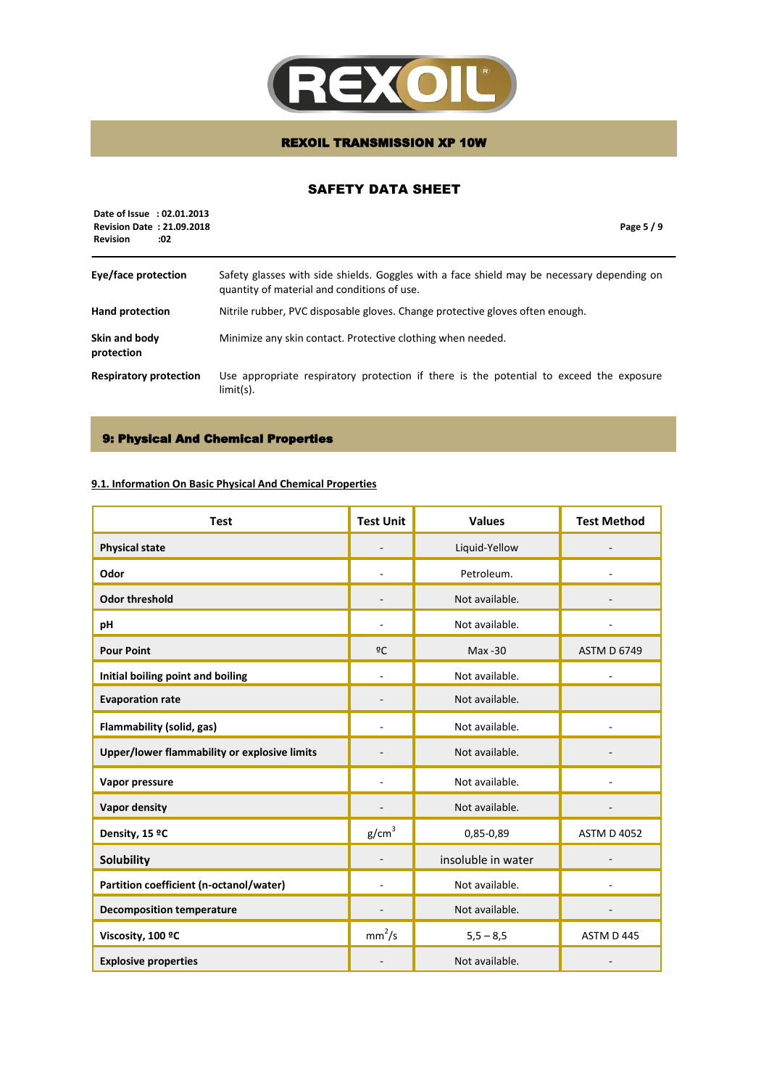

## SAFETY DATA SHEET

| Date of Issue : 02.01.2013<br><b>Revision Date: 21.09.2018</b><br><b>Revision</b><br>:02 | Page 5/9                                                                                                                                  |
|------------------------------------------------------------------------------------------|-------------------------------------------------------------------------------------------------------------------------------------------|
| Eye/face protection                                                                      | Safety glasses with side shields. Goggles with a face shield may be necessary depending on<br>quantity of material and conditions of use. |
| <b>Hand protection</b>                                                                   | Nitrile rubber, PVC disposable gloves. Change protective gloves often enough.                                                             |
| Skin and body<br>protection                                                              | Minimize any skin contact. Protective clothing when needed.                                                                               |
| <b>Respiratory protection</b>                                                            | Use appropriate respiratory protection if there is the potential to exceed the exposure<br>$limit(s)$ .                                   |

### 9: Physical And Chemical Properties

## **9.1. Information On Basic Physical And Chemical Properties**

| <b>Test</b>                                  | <b>Test Unit</b>   | <b>Values</b>      | <b>Test Method</b> |
|----------------------------------------------|--------------------|--------------------|--------------------|
| <b>Physical state</b>                        |                    | Liquid-Yellow      |                    |
| Odor                                         |                    | Petroleum.         |                    |
| <b>Odor threshold</b>                        |                    | Not available.     |                    |
| pH                                           |                    | Not available.     |                    |
| <b>Pour Point</b>                            | 2C                 | $Max -30$          | <b>ASTM D 6749</b> |
| Initial boiling point and boiling            |                    | Not available.     |                    |
| <b>Evaporation rate</b>                      |                    | Not available.     |                    |
| Flammability (solid, gas)                    |                    | Not available.     |                    |
| Upper/lower flammability or explosive limits |                    | Not available.     |                    |
| Vapor pressure                               |                    | Not available.     |                    |
| <b>Vapor density</b>                         |                    | Not available.     |                    |
| Density, 15 ºC                               | g/cm <sup>3</sup>  | 0,85-0,89          | <b>ASTM D 4052</b> |
| <b>Solubility</b>                            |                    | insoluble in water |                    |
| Partition coefficient (n-octanol/water)      |                    | Not available.     |                    |
| <b>Decomposition temperature</b>             |                    | Not available.     |                    |
| Viscosity, 100 °C                            | mm <sup>2</sup> /s | $5,5 - 8,5$        | ASTM D 445         |
| <b>Explosive properties</b>                  |                    | Not available.     |                    |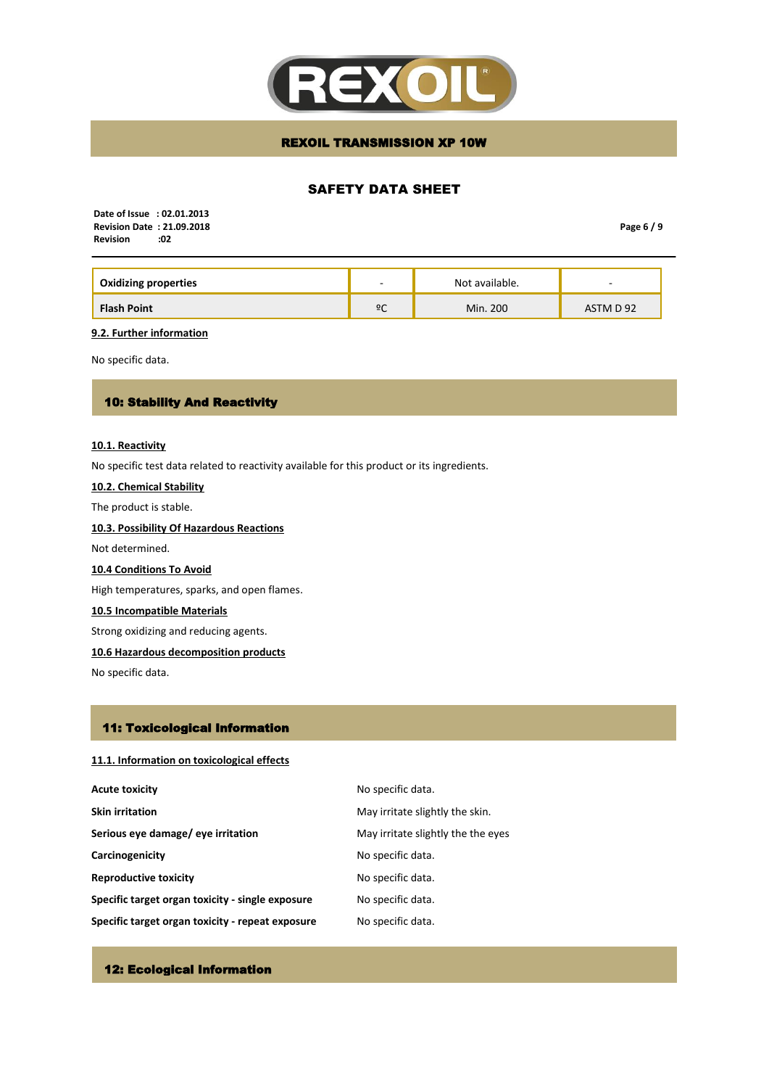

## SAFETY DATA SHEET

 **Date of Issue : 02.01.2013 Revision Date : 21.09.2018 Revision** 

**Page 6 / 9**

| <b>Oxidizing properties</b> | $\overline{\phantom{a}}$ | Not available. | $\overline{\phantom{a}}$ |
|-----------------------------|--------------------------|----------------|--------------------------|
| <b>Flash Point</b>          | ºC                       | Min. 200       | ASTM D 92                |

**9.2. Further information**

No specific data.

## 10: Stability And Reactivity

#### **10.1. Reactivity**

No specific test data related to reactivity available for this product or its ingredients.

# **10.2. Chemical Stability**

The product is stable.

## **10.3. Possibility Of Hazardous Reactions**

Not determined.

### **10.4 Conditions To Avoid**

High temperatures, sparks, and open flames.

## **10.5 Incompatible Materials**

Strong oxidizing and reducing agents.

### **10.6 Hazardous decomposition products**

No specific data.

## 11: Toxicological Information

### **11.1. Information on toxicological effects**

| <b>Acute toxicity</b>                            | No specific data.                  |
|--------------------------------------------------|------------------------------------|
| <b>Skin irritation</b>                           | May irritate slightly the skin.    |
| Serious eye damage/ eye irritation               | May irritate slightly the the eyes |
| Carcinogenicity                                  | No specific data.                  |
| <b>Reproductive toxicity</b>                     | No specific data.                  |
| Specific target organ toxicity - single exposure | No specific data.                  |
| Specific target organ toxicity - repeat exposure | No specific data.                  |

## 12: Ecological Information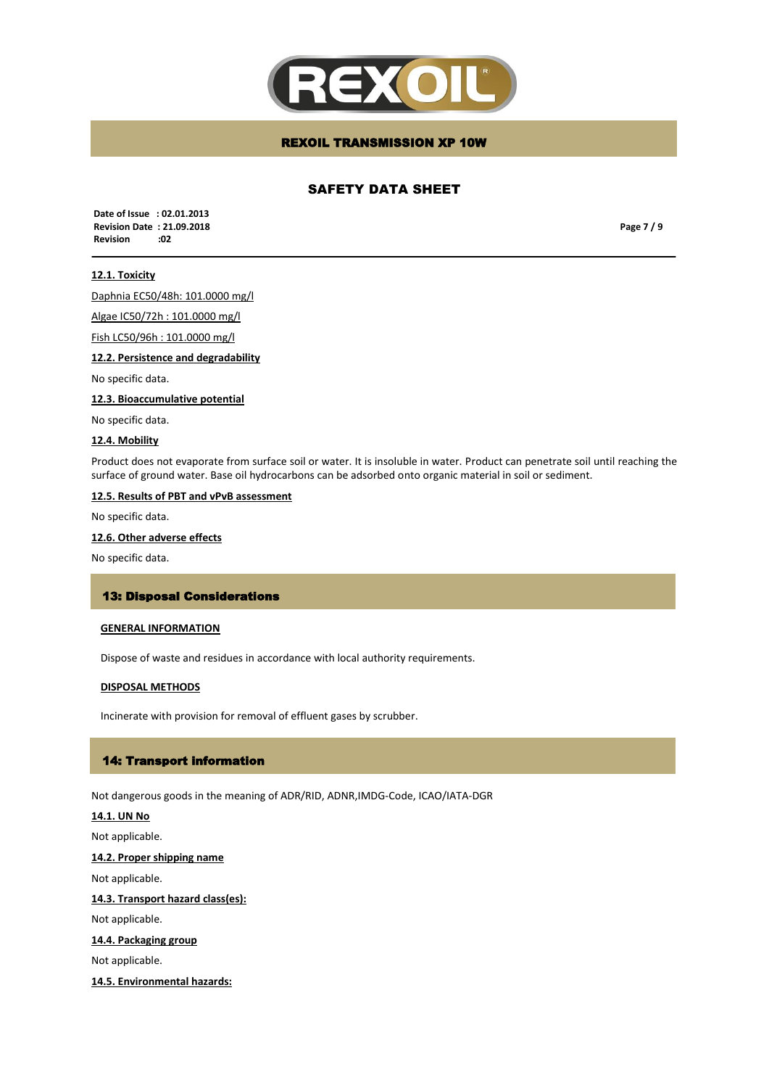

## SAFETY DATA SHEET

 **Date of Issue : 02.01.2013 Revision Date : 21.09.2018 Revision :02**

**Page 7 / 9**

### **12.1. Toxicity**

Daphnia EC50/48h: 101.0000 mg/l

Algae IC50/72h : 101.0000 mg/l

Fish LC50/96h : 101.0000 mg/l

**12.2. Persistence and degradability** 

No specific data.

**12.3. Bioaccumulative potential**

No specific data.

#### **12.4. Mobility**

Product does not evaporate from surface soil or water. It is insoluble in water. Product can penetrate soil until reaching the surface of ground water. Base oil hydrocarbons can be adsorbed onto organic material in soil or sediment.

#### **12.5. Results of PBT and vPvB assessment**

No specific data.

### **12.6. Other adverse effects**

No specific data.

### 13: Disposal Considerations

### **GENERAL INFORMATION**

Dispose of waste and residues in accordance with local authority requirements.

#### **DISPOSAL METHODS**

Incinerate with provision for removal of effluent gases by scrubber.

#### 14: Transport information

Not dangerous goods in the meaning of ADR/RID, ADNR,IMDG-Code, ICAO/IATA-DGR

## **14.1. UN No**

Not applicable.

**14.2. Proper shipping name**

Not applicable.

### **14.3. Transport hazard class(es):**

Not applicable.

## **14.4. Packaging group**

Not applicable.

#### **14.5. Environmental hazards:**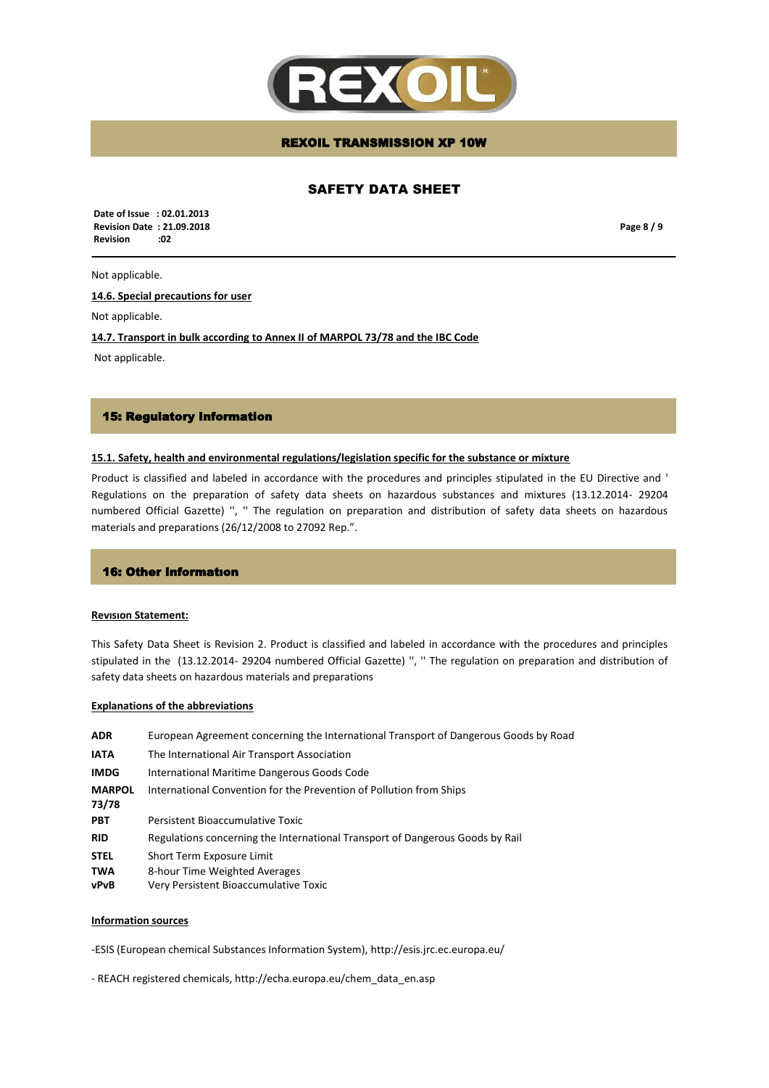

## SAFETY DATA SHEET

 **Date of Issue : 02.01.2013 Revision Date : 21.09.2018 Revision :02**

**Page 8 / 9**

#### Not applicable.

**14.6. Special precautions for user**

Not applicable.

**14.7. Transport in bulk according to Annex II of MARPOL 73/78 and the IBC Code**

Not applicable.

### 15: Regulatory Information

### **15.1. Safety, health and environmental regulations/legislation specific for the substance or mixture**

Product is classified and labeled in accordance with the procedures and principles stipulated in the EU Directive and ' Regulations on the preparation of safety data sheets on hazardous substances and mixtures (13.12.2014- 29204 numbered Official Gazette) '', '' The regulation on preparation and distribution of safety data sheets on hazardous materials and preparations (26/12/2008 to 27092 Rep.".

#### 16: Other Informatıon

#### **Revısıon Statement:**

This Safety Data Sheet is Revision 2. Product is classified and labeled in accordance with the procedures and principles stipulated in the (13.12.2014- 29204 numbered Official Gazette) '', '' The regulation on preparation and distribution of safety data sheets on hazardous materials and preparations

#### **Explanations of the abbreviations**

| <b>ADR</b>             | European Agreement concerning the International Transport of Dangerous Goods by Road |
|------------------------|--------------------------------------------------------------------------------------|
| <b>IATA</b>            | The International Air Transport Association                                          |
| <b>IMDG</b>            | International Maritime Dangerous Goods Code                                          |
| <b>MARPOL</b><br>73/78 | International Convention for the Prevention of Pollution from Ships                  |
| <b>PBT</b>             | Persistent Bioaccumulative Toxic                                                     |
| <b>RID</b>             | Regulations concerning the International Transport of Dangerous Goods by Rail        |
| <b>STEL</b>            | Short Term Exposure Limit                                                            |
| <b>TWA</b><br>vPvB     | 8-hour Time Weighted Averages<br>Very Persistent Bioaccumulative Toxic               |

#### **Information sources**

-ESIS (European chemical Substances Information System), http://esis.jrc.ec.europa.eu/

- REACH registered chemicals, http://echa.europa.eu/chem\_data\_en.asp